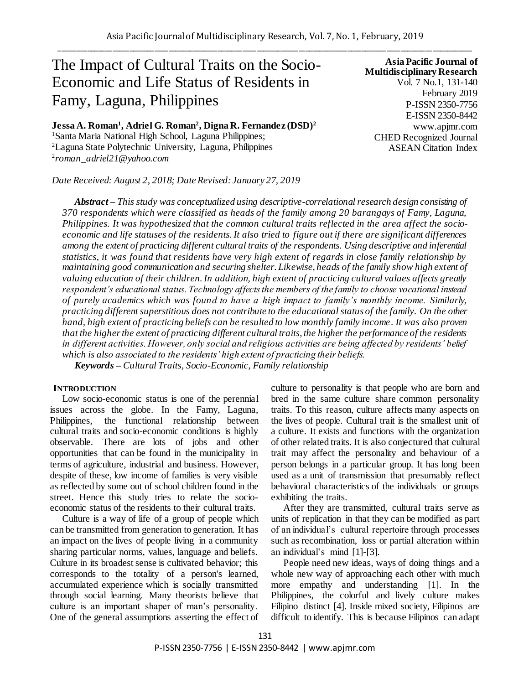# The Impact of Cultural Traits on the Socio-Economic and Life Status of Residents in Famy, Laguna, Philippines

**Jessa A. Roman<sup>1</sup> , Adriel G. Roman<sup>2</sup> , Digna R. Fernandez (DSD)<sup>2</sup>** <sup>1</sup>Santa Maria National High School, Laguna Philippines; <sup>2</sup>Laguna State Polytechnic University, Laguna, Philippines 2 *roman\_adriel21@yahoo.com*

*Date Received: August 2, 2018; Date Revised: January 27, 2019*

**Asia Pacific Journal of Multidisciplinary Research** Vol. 7 No.1, 131-140 February 2019 P-ISSN 2350-7756 E-ISSN 2350-8442 www.apjmr.com CHED Recognized Journal ASEAN Citation Index

*Abstract – This study was conceptualized using descriptive-correlational research design consisting of 370 respondents which were classified as heads of the family among 20 barangays of Famy, Laguna, Philippines. It was hypothesized that the common cultural traits reflected in the area affect the socioeconomic and life statuses of the residents. It also tried to figure out if there are significant differences among the extent of practicing different cultural traits of the respondents. Using descriptive and inferential statistics, it was found that residents have very high extent of regards in close family relationship by maintaining good communication and securing shelter. Likewise, heads of the family show high extent of valuing education of their children. In addition, high extent of practicing cultural values affects greatly respondent's educational status. Technology affects the members of the family to choose vocational instead of purely academics which was found to have a high impact to family's monthly income. Similarly, practicing different superstitious does not contribute to the educational status of the family. On the other hand, high extent of practicing beliefs can be resulted to low monthly family income. It was also proven that the higher the extent of practicing different cultural traits, the higher the performance of the residents in different activities. However, only social and religious activities are being affected by residents' belief which is also associated to the residents' high extent of practicing their beliefs.* 

*Keywords – Cultural Traits, Socio-Economic, Family relationship*

## **INTRODUCTION**

Low socio-economic status is one of the perennial issues across the globe. In the Famy, Laguna, Philippines, the functional relationship between cultural traits and socio-economic conditions is highly observable. There are lots of jobs and other opportunities that can be found in the municipality in terms of agriculture, industrial and business. However, despite of these, low income of families is very visible as reflected by some out of school children found in the street. Hence this study tries to relate the socioeconomic status of the residents to their cultural traits.

Culture is a way of life of a group of people which can be transmitted from generation to generation. It has an impact on the lives of people living in a community sharing particular norms, values, language and beliefs. Culture in its broadest sense is cultivated behavior; this corresponds to the totality of a person's learned, accumulated experience which is socially transmitted through social learning. Many theorists believe that culture is an important shaper of man's personality. One of the general assumptions asserting the effect of culture to personality is that people who are born and bred in the same culture share common personality traits. To this reason, culture affects many aspects on the lives of people. Cultural trait is the smallest unit of a culture. It exists and functions with the organization of other related traits. It is also conjectured that cultural trait may affect the personality and behaviour of a person belongs in a particular group. It has long been used as a unit of transmission that presumably reflect behavioral characteristics of the individuals or groups exhibiting the traits.

After they are transmitted, cultural traits serve as units of replication in that they can be modified as part of an individual's cultural repertoire through processes such as recombination, loss or partial alteration within an individual's mind [1]-[3].

People need new ideas, ways of doing things and a whole new way of approaching each other with much more empathy and understanding [1]. In the Philippines, the colorful and lively culture makes Filipino distinct [4]. Inside mixed society, Filipinos are difficult to identify. This is because Filipinos can adapt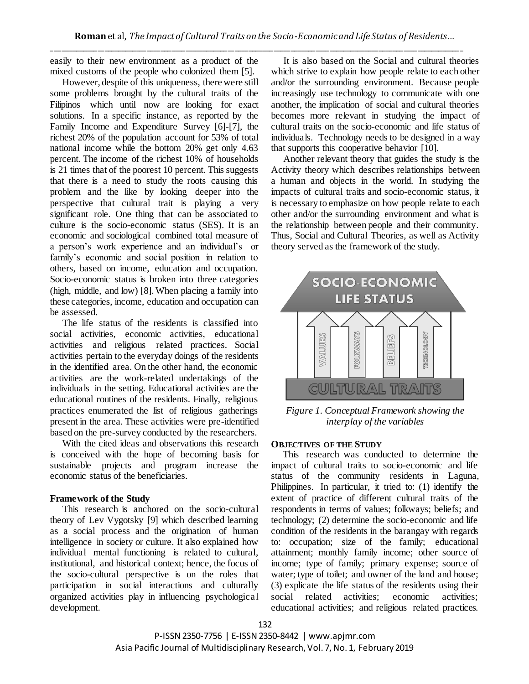easily to their new environment as a product of the mixed customs of the people who colonized them [5].

However, despite of this uniqueness, there were still some problems brought by the cultural traits of the Filipinos which until now are looking for exact solutions. In a specific instance, as reported by the Family Income and Expenditure Survey [6]-[7], the richest 20% of the population account for 53% of total national income while the bottom 20% get only 4.63 percent. The income of the richest 10% of households is 21 times that of the poorest 10 percent. This suggests that there is a need to study the roots causing this problem and the like by looking deeper into the perspective that cultural trait is playing a very significant role. One thing that can be associated to culture is the socio-economic status (SES). It is an economic and sociological combined total measure of a person's work experience and an individual's or family's economic and social position in relation to others, based on income, education and occupation. Socio-economic status is broken into three categories (high, middle, and low) [8]. When placing a family into these categories, income, education and occupation can be assessed.

The life status of the residents is classified into social activities, economic activities, educational activities and religious related practices. Social activities pertain to the everyday doings of the residents in the identified area. On the other hand, the economic activities are the work-related undertakings of the individuals in the setting. Educational activities are the educational routines of the residents. Finally, religious practices enumerated the list of religious gatherings present in the area. These activities were pre-identified based on the pre-survey conducted by the researchers.

With the cited ideas and observations this research is conceived with the hope of becoming basis for sustainable projects and program increase the economic status of the beneficiaries.

### **Framework of the Study**

This research is anchored on the socio-cultural theory of Lev Vygotsky [9] which described learning as a social process and the origination of human intelligence in society or culture. It also explained how individual mental functioning is related to cultural, institutional, and historical context; hence, the focus of the socio-cultural perspective is on the roles that participation in social interactions and culturally organized activities play in influencing psychological development.

It is also based on the Social and cultural theories which strive to explain how people relate to each other and/or the surrounding environment. Because people increasingly use technology to communicate with one another, the implication of social and cultural theories becomes more relevant in studying the impact of cultural traits on the socio-economic and life status of individuals. Technology needs to be designed in a way that supports this cooperative behavior [10].

Another relevant theory that guides the study is the Activity theory which describes relationships between a human and objects in the world. In studying the impacts of cultural traits and socio-economic status, it is necessary to emphasize on how people relate to each other and/or the surrounding environment and what is the relationship between people and their community. Thus, Social and Cultural Theories, as well as Activity theory served as the framework of the study.



*Figure 1. Conceptual Framework showing the interplay of the variables* 

### **OBJECTIVES OF THE STUDY**

 This research was conducted to determine the impact of cultural traits to socio-economic and life status of the community residents in Laguna, Philippines. In particular, it tried to: (1) identify the extent of practice of different cultural traits of the respondents in terms of values; folkways; beliefs; and technology; (2) determine the socio-economic and life condition of the residents in the barangay with regards to: occupation; size of the family; educational attainment; monthly family income; other source of income; type of family; primary expense; source of water; type of toilet; and owner of the land and house; (3) explicate the life status of the residents using their social related activities; economic activities; educational activities; and religious related practices.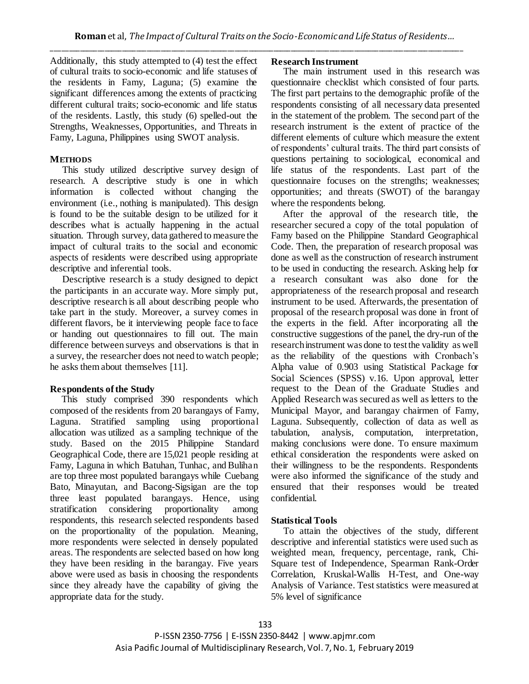Additionally, this study attempted to (4) test the effect of cultural traits to socio-economic and life statuses of the residents in Famy, Laguna; (5) examine the significant differences among the extents of practicing different cultural traits; socio-economic and life status of the residents. Lastly, this study (6) spelled-out the Strengths, Weaknesses, Opportunities, and Threats in Famy, Laguna, Philippines using SWOT analysis.

# **METHODS**

This study utilized descriptive survey design of research. A descriptive study is one in which information is collected without changing the environment (i.e., nothing is manipulated). This design is found to be the suitable design to be utilized for it describes what is actually happening in the actual situation. Through survey, data gathered to measure the impact of cultural traits to the social and economic aspects of residents were described using appropriate descriptive and inferential tools.

Descriptive research is a study designed to depict the participants in an accurate way. More simply put, descriptive research is all about describing people who take part in the study. Moreover, a survey comes in different flavors, be it interviewing people face to face or handing out questionnaires to fill out. The main difference between surveys and observations is that in a survey, the researcher does not need to watch people; he asks them about themselves [11].

# **Respondents of the Study**

 This study comprised 390 respondents which composed of the residents from 20 barangays of Famy, Laguna. Stratified sampling using proportional allocation was utilized as a sampling technique of the study. Based on the 2015 Philippine Standard Geographical Code, there are 15,021 people residing at Famy, Laguna in which Batuhan, Tunhac, and Bulihan are top three most populated barangays while Cuebang Bato, Minayutan, and Bacong-Sigsigan are the top three least populated barangays. Hence, using stratification considering proportionality among respondents, this research selected respondents based on the proportionality of the population. Meaning, more respondents were selected in densely populated areas. The respondents are selected based on how long they have been residing in the barangay. Five years above were used as basis in choosing the respondents since they already have the capability of giving the appropriate data for the study.

# **Research Instrument**

The main instrument used in this research was questionnaire checklist which consisted of four parts. The first part pertains to the demographic profile of the respondents consisting of all necessary data presented in the statement of the problem. The second part of the research instrument is the extent of practice of the different elements of culture which measure the extent of respondents' cultural traits. The third part consists of questions pertaining to sociological, economical and life status of the respondents. Last part of the questionnaire focuses on the strengths; weaknesses; opportunities; and threats (SWOT) of the barangay where the respondents belong.

 After the approval of the research title, the researcher secured a copy of the total population of Famy based on the Philippine Standard Geographical Code. Then, the preparation of research proposal was done as well as the construction of research instrument to be used in conducting the research. Asking help for a research consultant was also done for the appropriateness of the research proposal and research instrument to be used. Afterwards, the presentation of proposal of the research proposal was done in front of the experts in the field. After incorporating all the constructive suggestions of the panel, the dry-run of the research instrument was done to test the validity as well as the reliability of the questions with Cronbach's Alpha value of 0.903 using Statistical Package for Social Sciences (SPSS) v.16. Upon approval, letter request to the Dean of the Graduate Studies and Applied Research was secured as well as letters to the Municipal Mayor, and barangay chairmen of Famy, Laguna. Subsequently, collection of data as well as tabulation, analysis, computation, interpretation, making conclusions were done. To ensure maximum ethical consideration the respondents were asked on their willingness to be the respondents. Respondents were also informed the significance of the study and ensured that their responses would be treated confidential.

# **Statistical Tools**

 To attain the objectives of the study, different descriptive and inferential statistics were used such as weighted mean, frequency, percentage, rank, Chi-Square test of Independence, Spearman Rank-Order Correlation, Kruskal-Wallis H-Test, and One-way Analysis of Variance. Test statistics were measured at 5% level of significance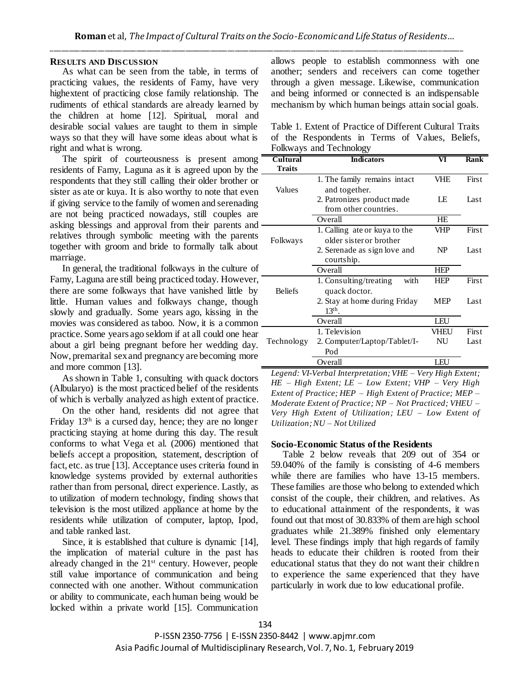## **RESULTS AND DISCUSSION**

As what can be seen from the table, in terms of practicing values, the residents of Famy, have very highextent of practicing close family relationship. The rudiments of ethical standards are already learned by the children at home [12]. Spiritual, moral and desirable social values are taught to them in simple ways so that they will have some ideas about what is right and what is wrong.

The spirit of courteousness is present among residents of Famy, Laguna as it is agreed upon by the respondents that they still calling their older brother or sister as ate or kuya. It is also worthy to note that even if giving service to the family of women and serenading are not being practiced nowadays, still couples are asking blessings and approval from their parents and relatives through symbolic meeting with the parents together with groom and bride to formally talk about marriage.

In general, the traditional folkways in the culture of Famy, Laguna are still being practiced today. However, there are some folkways that have vanished little by little. Human values and folkways change, though slowly and gradually. Some years ago, kissing in the movies was considered as taboo. Now, it is a common practice. Some years ago seldom if at all could one hear about a girl being pregnant before her wedding day. Now, premarital sex and pregnancy are becoming more and more common [13].

As shown in Table 1, consulting with quack doctors (Albularyo) is the most practiced belief of the residents of which is verbally analyzed as high extent of practice.

On the other hand, residents did not agree that Friday  $13<sup>th</sup>$  is a cursed day, hence; they are no longer practicing staying at home during this day. The result conforms to what Vega et al. (2006) mentioned that beliefs accept a proposition, statement, description of fact, etc. as true [13]. Acceptance uses criteria found in knowledge systems provided by external authorities rather than from personal, direct experience. Lastly, as to utilization of modern technology, finding shows that television is the most utilized appliance at home by the residents while utilization of computer, laptop, Ipod, and table ranked last.

Since, it is established that culture is dynamic [14], the implication of material culture in the past has already changed in the 21st century. However, people still value importance of communication and being connected with one another. Without communication or ability to communicate, each human being would be locked within a private world [15]. Communication allows people to establish commonness with one another; senders and receivers can come together through a given message. Likewise, communication and being informed or connected is an indispensable mechanism by which human beings attain social goals.

Table 1. Extent of Practice of Different Cultural Traits of the Respondents in Terms of Values, Beliefs, Folkways and Technology

| Cultural       | <b>Indicators</b>              | VI         | Rank  |
|----------------|--------------------------------|------------|-------|
| <b>Traits</b>  |                                |            |       |
|                | 1. The family remains intact   | VHE        | First |
| Values         | and together.                  |            |       |
|                | 2. Patronizes product made     | LE         | Last  |
|                | from other countries.          |            |       |
|                | Overall                        | HE         |       |
|                | 1. Calling ate or kuya to the  | VHP        | First |
| Folkways       | older sister or brother        |            |       |
|                | 2. Serenade as sign love and   | NP         | Last  |
|                | courtship.                     |            |       |
|                | Overall                        | <b>HEP</b> |       |
|                | 1. Consulting/treating<br>with | HEP        | First |
| <b>Beliefs</b> | quack doctor.                  |            |       |
|                | 2. Stay at home during Friday  | MEP        | Last  |
|                | $13th$ .                       |            |       |
|                | Overall                        | LEU        |       |
|                | 1. Television                  | VHEU       | First |
| Technology     | 2. Computer/Laptop/Tablet/I-   | NU         | Last  |
|                | Pod                            |            |       |
|                | Overall                        | LEU        |       |

*Legend: VI-Verbal Interpretation; VHE – Very High Extent; HE – High Extent; LE – Low Extent; VHP – Very High Extent of Practice; HEP – High Extent of Practice; MEP – Moderate Extent of Practice; NP – Not Practiced; VHEU – Very High Extent of Utilization; LEU – Low Extent of Utilization; NU – Not Utilized*

#### **Socio-Economic Status of the Residents**

 Table 2 below reveals that 209 out of 354 or 59.040% of the family is consisting of 4-6 members while there are families who have 13-15 members. These families are those who belong to extended which consist of the couple, their children, and relatives. As to educational attainment of the respondents, it was found out that most of 30.833% of them are high school graduates while 21.389% finished only elementary level. These findings imply that high regards of family heads to educate their children is rooted from their educational status that they do not want their children to experience the same experienced that they have particularly in work due to low educational profile.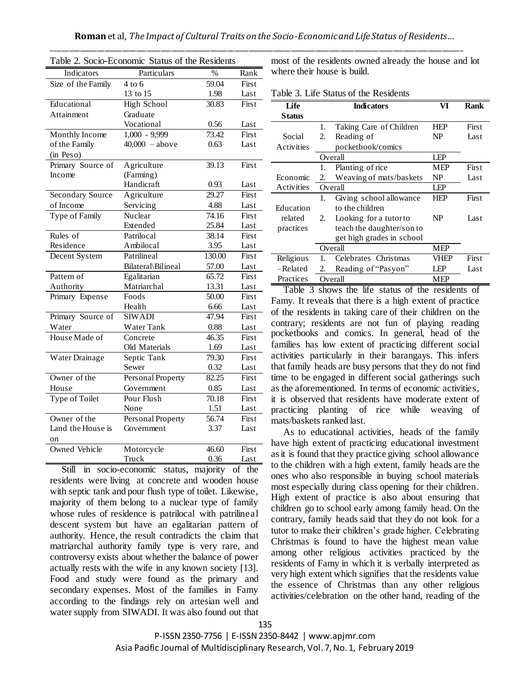| rable 2. Socio-Economic Status of the Residents |                    |        |       |  |  |
|-------------------------------------------------|--------------------|--------|-------|--|--|
| Indicators                                      | Particulars        | $\%$   | Rank  |  |  |
| Size of the Family                              | $4$ to 6           | 59.04  | First |  |  |
|                                                 | 13 to 15           | 1.98   | Last  |  |  |
| Educational                                     | <b>High School</b> | 30.83  | First |  |  |
| Attainment                                      | Graduate           |        |       |  |  |
|                                                 | Vocational         | 0.56   | Last  |  |  |
| Monthly Income                                  | $1,000 - 9,999$    | 73.42  | First |  |  |
| of the Family                                   | $40,000 - above$   | 0.63   | Last  |  |  |
| (in Peso)                                       |                    |        |       |  |  |
| Primary Source of                               | Agriculture        | 39.13  | First |  |  |
| Income                                          | (Farming)          |        |       |  |  |
|                                                 | Handicraft         | 0.93   | Last  |  |  |
| <b>Secondary Source</b>                         | Agriculture        | 29.27  | First |  |  |
| of Income                                       | Servicing          | 4.88   | Last  |  |  |
| Type of Family                                  | Nuclear            | 74.16  | First |  |  |
|                                                 | Extended           | 25.84  | Last  |  |  |
| Rules of                                        | Patrilocal         | 38.14  | First |  |  |
| Residence                                       | Ambilocal          | 3.95   | Last  |  |  |
| Decent System                                   | Patrilineal        | 130.00 | First |  |  |
|                                                 | Bilateral\Bilineal | 57.00  | Last  |  |  |
| Pattern of                                      | Egalitarian        | 65.72  | First |  |  |
| Authority                                       | Matriarchal        | 13.31  | Last  |  |  |
| Primary Expense                                 | Foods              | 50.00  | First |  |  |
|                                                 | Health             | 6.66   | Last  |  |  |
| Primary Source of                               | <b>SIWADI</b>      | 47.94  | First |  |  |
| Water                                           | Water Tank         | 0.88   | Last  |  |  |
| House Made of                                   | Concrete           | 46.35  | First |  |  |
|                                                 | Old Materials      | 1.69   | Last  |  |  |
| Water Drainage                                  | Septic Tank        | 79.30  | First |  |  |
|                                                 | Sewer              | 0.32   | Last  |  |  |
| Owner of the                                    | Personal Property  | 82.25  | First |  |  |
| House                                           | Government         | 0.85   | Last  |  |  |
| Type of Toilet                                  | Pour Flush         | 70.18  | First |  |  |
|                                                 | None               | 1.51   | Last  |  |  |
| Owner of the                                    | Personal Property  | 56.74  | First |  |  |
| Land the House is                               | Government         | 3.37   | Last  |  |  |
| on                                              |                    |        |       |  |  |
| <b>Owned Vehicle</b>                            | Motorcycle         | 46.60  | First |  |  |
|                                                 | <b>Truck</b>       | 0.36   | Last  |  |  |

Table 2. Socio-Economic Status of the Residents

most of the residents owned already the house and lot where their house is build.

Table 3. Life Status of the Residents

| Life          |    | <b>Indicators</b>         | VI         | <b>Rank</b> |
|---------------|----|---------------------------|------------|-------------|
| <b>Status</b> |    |                           |            |             |
|               | 1. | Taking Care of Children   | HEP        | First       |
| Social        | 2. | Reading of                | NP.        | Last        |
| Activities    |    | pocketbook/comics         |            |             |
|               |    | Overall                   | LEP        |             |
|               | 1. | Planting of rice          | <b>MEP</b> | First       |
| Economic      | 2. | Weaving of mats/baskets   | NP         | Last        |
| Activities    |    | Overall                   | LEP        |             |
|               | 1. | Giving school allowance   | <b>HEP</b> | First       |
| Education     |    | to the children           |            |             |
| related       | 2. | Looking for a tutor to    | NP         | Last        |
| practices     |    | teach the daughter/son to |            |             |
|               |    | get high grades in school |            |             |
|               |    | Overall                   | <b>MEP</b> |             |
| Religious     | 1. | Celebrates Christmas      | VHEP       | First       |
| -Related      | 2. | Reading of "Pasyon"       | LEP        | Last        |
| Practices     |    | Overall                   | <b>MEP</b> |             |

Table 3 shows the life status of the residents of Famy. It reveals that there is a high extent of practice of the residents in taking care of their children on the contrary; residents are not fun of playing reading pocketbooks and comics. In general, head of the families has low extent of practicing different social activities particularly in their barangays. This infers that family heads are busy persons that they do not find time to be engaged in different social gatherings such as the aforementioned. In terms of economic activities, it is observed that residents have moderate extent of practicing planting of rice while weaving of mats/baskets ranked last.

As to educational activities, heads of the family have high extent of practicing educational investment as it is found that they practice giving school allowance to the children with a high extent, family heads are the ones who also responsible in buying school materials most especially during class opening for their children. High extent of practice is also about ensuring that children go to school early among family head. On the contrary, family heads said that they do not look for a tutor to make their children's grade higher. Celebrating Christmas is found to have the highest mean value among other religious activities practiced by the residents of Famy in which it is verbally interpreted as very high extent which signifies that the residents value the essence of Christmas than any other religious activities/celebration on the other hand, reading of the

 Still in socio-economic status, majority of the residents were living at concrete and wooden house with septic tank and pour flush type of toilet. Likewise, majority of them belong to a nuclear type of family whose rules of residence is patrilocal with patrilineal descent system but have an egalitarian pattern of authority. Hence, the result contradicts the claim that matriarchal authority family type is very rare, and controversy exists about whether the balance of power actually rests with the wife in any known society [13]. Food and study were found as the primary and secondary expenses. Most of the families in Famy according to the findings rely on artesian well and water supply from SIWADI. It was also found out that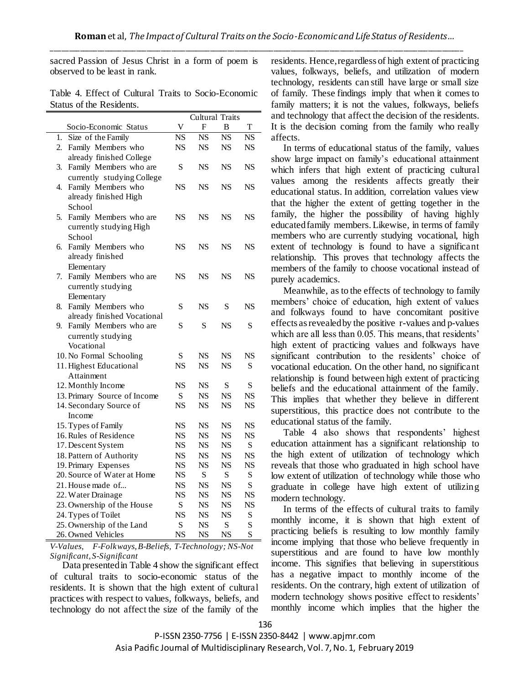sacred Passion of Jesus Christ in a form of poem is observed to be least in rank.

| Table 4. Effect of Cultural Traits to Socio-Economic |  |
|------------------------------------------------------|--|
| Status of the Residents.                             |  |

|                                        |                        | <b>Cultural Traits</b> |                        |                        |
|----------------------------------------|------------------------|------------------------|------------------------|------------------------|
| Socio-Economic Status                  | V                      | F                      | B                      | T                      |
| $\overline{1}$ .<br>Size of the Family | $\overline{\text{NS}}$ | $\overline{\text{NS}}$ | $\overline{\text{NS}}$ | $\overline{\text{NS}}$ |
| Family Members who<br>2.               | NS                     | <b>NS</b>              | <b>NS</b>              | NS                     |
| already finished College               |                        |                        |                        |                        |
| Family Members who are<br>3.           | S                      | <b>NS</b>              | <b>NS</b>              | <b>NS</b>              |
| currently studying College             |                        |                        |                        |                        |
| Family Members who<br>4.               | NS                     | NS                     | NS                     | NS                     |
| already finished High                  |                        |                        |                        |                        |
| School                                 |                        |                        |                        |                        |
| 5.<br>Family Members who are           | <b>NS</b>              | <b>NS</b>              | <b>NS</b>              | <b>NS</b>              |
| currently studying High                |                        |                        |                        |                        |
| School                                 |                        |                        |                        |                        |
| Family Members who<br>6.               | NS                     | NS                     | <b>NS</b>              | NS                     |
| already finished                       |                        |                        |                        |                        |
| Elementary                             |                        |                        |                        |                        |
| Family Members who are<br>7.           | <b>NS</b>              | <b>NS</b>              | <b>NS</b>              | <b>NS</b>              |
| currently studying                     |                        |                        |                        |                        |
| Elementary                             |                        |                        |                        |                        |
| Family Members who<br>8.               | S                      | <b>NS</b>              | S                      | NS                     |
| already finished Vocational            |                        |                        |                        |                        |
| Family Members who are<br>9.           | S                      | S                      | NS                     | S                      |
| currently studying                     |                        |                        |                        |                        |
| Vocational                             |                        |                        |                        |                        |
| 10. No Formal Schooling                | S                      | NS                     | NS                     | <b>NS</b>              |
| 11. Highest Educational                | <b>NS</b>              | <b>NS</b>              | <b>NS</b>              | S                      |
| Attainment                             |                        |                        |                        |                        |
| 12. Monthly Income                     | <b>NS</b>              | <b>NS</b>              | S                      | S                      |
| 13. Primary Source of Income           | S                      | <b>NS</b>              | <b>NS</b>              | <b>NS</b>              |
| 14. Secondary Source of                | <b>NS</b>              | <b>NS</b>              | <b>NS</b>              | <b>NS</b>              |
| Income                                 |                        |                        |                        |                        |
| 15. Types of Family                    | <b>NS</b>              | <b>NS</b>              | <b>NS</b>              | <b>NS</b>              |
| 16. Rules of Residence                 | <b>NS</b>              | <b>NS</b>              | <b>NS</b>              | <b>NS</b>              |
| 17. Descent System                     | <b>NS</b>              | <b>NS</b>              | <b>NS</b>              | S                      |
| 18. Pattern of Authority               | NS                     | <b>NS</b>              | <b>NS</b>              | NS                     |
| 19. Primary Expenses                   | NS                     | NS                     | NS                     | <b>NS</b>              |
| 20. Source of Water at Home            | <b>NS</b>              | S                      | S                      | S                      |
| 21. House made of                      | NS                     | <b>NS</b>              | <b>NS</b>              | S                      |
| 22. Water Drainage                     | NS                     | <b>NS</b>              | <b>NS</b>              | NS                     |
| 23. Ownership of the House             | S                      | NS                     | NS                     | <b>NS</b>              |
| 24. Types of Toilet                    | <b>NS</b>              | <b>NS</b>              | <b>NS</b>              | S                      |
| 25. Ownership of the Land              | S                      | <b>NS</b>              | S                      | S                      |
| 26. Owned Vehicles                     | NS                     | NS                     | NS                     | S                      |

*V-Values, F-Folkways, B-Beliefs, T-Technology; NS-Not Significant, S-Significant*

Data presented in Table 4 show the significant effect of cultural traits to socio-economic status of the residents. It is shown that the high extent of cultural practices with respect to values, folkways, beliefs, and technology do not affect the size of the family of the

residents. Hence, regardless of high extent of practicing values, folkways, beliefs, and utilization of modern technology, residents can still have large or small size of family. These findings imply that when it comes to family matters; it is not the values, folkways, beliefs and technology that affect the decision of the residents. It is the decision coming from the family who really affects.

In terms of educational status of the family, values show large impact on family's educational attainment which infers that high extent of practicing cultural values among the residents affects greatly their educational status. In addition, correlation values view that the higher the extent of getting together in the family, the higher the possibility of having highly educated family members. Likewise, in terms of family members who are currently studying vocational, high extent of technology is found to have a significant relationship. This proves that technology affects the members of the family to choose vocational instead of purely academics.

Meanwhile, as to the effects of technology to family members' choice of education, high extent of values and folkways found to have concomitant positive effects as revealed by the positive r-values and p-values which are all less than 0.05. This means, that residents' high extent of practicing values and folkways have significant contribution to the residents' choice of vocational education. On the other hand, no significant relationship is found between high extent of practicing beliefs and the educational attainment of the family. This implies that whether they believe in different superstitious, this practice does not contribute to the educational status of the family.

Table 4 also shows that respondents' highest education attainment has a significant relationship to the high extent of utilization of technology which reveals that those who graduated in high school have low extent of utilization of technology while those who graduate in college have high extent of utilizing modern technology.

In terms of the effects of cultural traits to family monthly income, it is shown that high extent of practicing beliefs is resulting to low monthly family income implying that those who believe frequently in superstitious and are found to have low monthly income. This signifies that believing in superstitious has a negative impact to monthly income of the residents. On the contrary, high extent of utilization of modern technology shows positive effect to residents' monthly income which implies that the higher the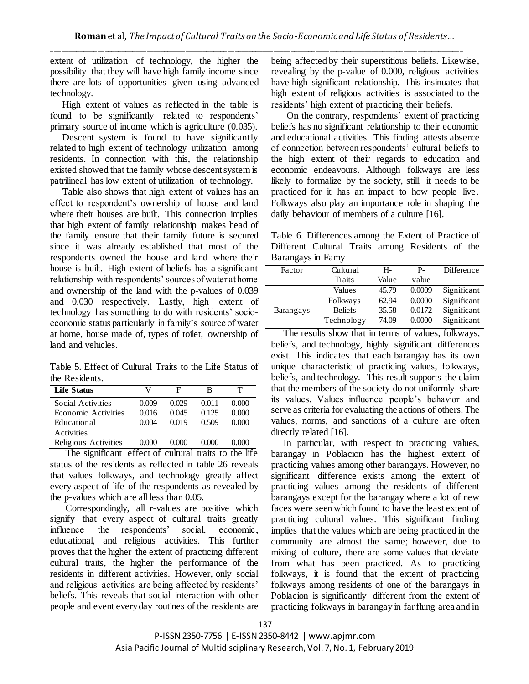extent of utilization of technology, the higher the possibility that they will have high family income since there are lots of opportunities given using advanced technology.

High extent of values as reflected in the table is found to be significantly related to respondents' primary source of income which is agriculture (0.035).

Descent system is found to have significantly related to high extent of technology utilization among residents. In connection with this, the relationship existed showed that the family whose descent system is patrilineal has low extent of utilization of technology.

Table also shows that high extent of values has an effect to respondent's ownership of house and land where their houses are built. This connection implies that high extent of family relationship makes head of the family ensure that their family future is secured since it was already established that most of the respondents owned the house and land where their house is built. High extent of beliefs has a significant relationship with respondents' sources of water at home and ownership of the land with the p-values of 0.039 and 0.030 respectively. Lastly, high extent of technology has something to do with residents' socioeconomic status particularly in family's source of water at home, house made of, types of toilet, ownership of land and vehicles.

Table 5. Effect of Cultural Traits to the Life Status of the Residents.

| <b>Life Status</b>   |         | E     | в       |       |
|----------------------|---------|-------|---------|-------|
| Social Activities    | 0.009   | 0.029 | 0.011   | 0.000 |
| Economic Activities  | 0.016   | 0.045 | 0.125   | 0.000 |
| Educational          | 0.004   | 0.019 | 0.509   | 0.000 |
| Activities           |         |       |         |       |
| Religious Activities | (0.000) | 0.000 | (0.000) |       |

The significant effect of cultural traits to the life status of the residents as reflected in table 26 reveals that values folkways, and technology greatly affect every aspect of life of the respondents as revealed by the p-values which are all less than 0.05.

Correspondingly, all r-values are positive which signify that every aspect of cultural traits greatly influence the respondents' social, economic, educational, and religious activities. This further proves that the higher the extent of practicing different cultural traits, the higher the performance of the residents in different activities. However, only social and religious activities are being affected by residents' beliefs. This reveals that social interaction with other people and event every day routines of the residents are being affected by their superstitious beliefs. Likewise, revealing by the p-value of 0.000, religious activities have high significant relationship. This insinuates that high extent of religious activities is associated to the residents' high extent of practicing their beliefs.

On the contrary, respondents' extent of practicing beliefs has no significant relationship to their economic and educational activities. This finding attests absence of connection between respondents' cultural beliefs to the high extent of their regards to education and economic endeavours. Although folkways are less likely to formalize by the society, still, it needs to be practiced for it has an impact to how people live. Folkways also play an importance role in shaping the daily behaviour of members of a culture [16].

Table 6. Differences among the Extent of Practice of Different Cultural Traits among Residents of the Barangays in Famy

| Factor           | Cultural       | Н-    | Р-     | Difference  |
|------------------|----------------|-------|--------|-------------|
|                  | Traits         | Value | value  |             |
|                  | Values         | 45.79 | 0.0009 | Significant |
|                  | Folkways       | 62.94 | 0.0000 | Significant |
| <b>Barangays</b> | <b>Beliefs</b> | 35.58 | 0.0172 | Significant |
|                  | Technology     | 74.09 | 0.0000 | Significant |
|                  |                |       |        |             |

The results show that in terms of values, folkways, beliefs, and technology, highly significant differences exist. This indicates that each barangay has its own unique characteristic of practicing values, folkways, beliefs, and technology. This result supports the claim that the members of the society do not uniformly share its values. Values influence people's behavior and serve as criteria for evaluating the actions of others. The values, norms, and sanctions of a culture are often directly related [16].

In particular, with respect to practicing values, barangay in Poblacion has the highest extent of practicing values among other barangays. However, no significant difference exists among the extent of practicing values among the residents of different barangays except for the barangay where a lot of new faces were seen which found to have the least extent of practicing cultural values. This significant finding implies that the values which are being practiced in the community are almost the same; however, due to mixing of culture, there are some values that deviate from what has been practiced. As to practicing folkways, it is found that the extent of practicing folkways among residents of one of the barangays in Poblacion is significantly different from the extent of practicing folkways in barangay in far flung area and in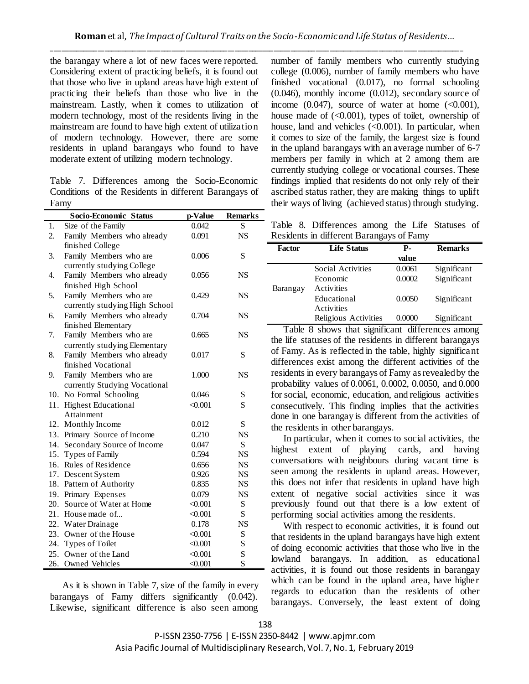the barangay where a lot of new faces were reported. Considering extent of practicing beliefs, it is found out that those who live in upland areas have high extent of practicing their beliefs than those who live in the mainstream. Lastly, when it comes to utilization of modern technology, most of the residents living in the mainstream are found to have high extent of utilization of modern technology. However, there are some residents in upland barangays who found to have moderate extent of utilizing modern technology.

Table 7. Differences among the Socio-Economic Conditions of the Residents in different Barangays of Famy

|     | Socio-Economic Status          | p-Value | <b>Remarks</b> |
|-----|--------------------------------|---------|----------------|
| 1.  | Size of the Family             | 0.042   | S              |
| 2.  | Family Members who already     | 0.091   | <b>NS</b>      |
|     | finished College               |         |                |
| 3.  | Family Members who are         | 0.006   | S              |
|     | currently studying College     |         |                |
| 4.  | Family Members who already     | 0.056   | <b>NS</b>      |
|     | finished High School           |         |                |
| 5.  | Family Members who are         | 0.429   | <b>NS</b>      |
|     | currently studying High School |         |                |
| 6.  | Family Members who already     | 0.704   | <b>NS</b>      |
|     | finished Elementary            |         |                |
| 7.  | Family Members who are         | 0.665   | <b>NS</b>      |
|     | currently studying Elementary  |         |                |
| 8.  | Family Members who already     | 0.017   | S              |
|     | finished Vocational            |         |                |
| 9.  | Family Members who are         | 1.000   | <b>NS</b>      |
|     | currently Studying Vocational  |         |                |
| 10. | No Formal Schooling            | 0.046   | S              |
| 11. | <b>Highest Educational</b>     | < 0.001 | S              |
|     | Attainment                     |         |                |
|     | 12. Monthly Income             | 0.012   | $\mathbf S$    |
|     | 13. Primary Source of Income   | 0.210   | <b>NS</b>      |
|     | 14. Secondary Source of Income | 0.047   | S              |
|     | 15. Types of Family            | 0.594   | <b>NS</b>      |
|     | 16. Rules of Residence         | 0.656   | <b>NS</b>      |
|     | 17. Descent System             | 0.926   | <b>NS</b>      |
|     | 18. Pattern of Authority       | 0.835   | <b>NS</b>      |
|     | 19. Primary Expenses           | 0.079   | <b>NS</b>      |
|     | 20. Source of Water at Home    | < 0.001 | S              |
|     | 21. House made of              | < 0.001 | $\mathbf S$    |
|     | 22. Water Drainage             | 0.178   | <b>NS</b>      |
|     | 23. Owner of the House         | < 0.001 | S              |
|     | 24. Types of Toilet            | < 0.001 | S              |
|     | 25. Owner of the Land          | < 0.001 | S              |
|     | 26. Owned Vehicles             | < 0.001 | S              |

 As it is shown in Table 7, size of the family in every barangays of Famy differs significantly (0.042). Likewise, significant difference is also seen among

number of family members who currently studying college (0.006), number of family members who have finished vocational (0.017), no formal schooling (0.046), monthly income (0.012), secondary source of income  $(0.047)$ , source of water at home  $( $0.001$ ),$ house made of  $(<0.001)$ , types of toilet, ownership of house, land and vehicles  $(<0.001$ ). In particular, when it comes to size of the family, the largest size is found in the upland barangays with an average number of 6-7 members per family in which at 2 among them are currently studying college or vocational courses. These findings implied that residents do not only rely of their ascribed status rather, they are making things to uplift their ways of living (achieved status) through studying.

Table 8. Differences among the Life Statuses of Residents in different Barangays of Famy

| <b>Factor</b> | <b>Life Status</b>   | Р.     | <b>Remarks</b> |
|---------------|----------------------|--------|----------------|
|               |                      | value  |                |
|               | Social Activities    | 0.0061 | Significant    |
|               | Economic             | 0.0002 | Significant    |
| Barangay      | Activities           |        |                |
|               | Educational          | 0.0050 | Significant    |
|               | Activities           |        |                |
|               | Religious Activities | 0.0000 | Significant    |

Table 8 shows that significant differences among the life statuses of the residents in different barangays of Famy. As is reflected in the table, highly significant differences exist among the different activities of the residents in every barangays of Famy as revealed by the probability values of 0.0061, 0.0002, 0.0050, and 0.000 for social, economic, education, and religious activities consecutively. This finding implies that the activities done in one barangay is different from the activities of the residents in other barangays.

In particular, when it comes to social activities, the highest extent of playing cards, and having conversations with neighbours during vacant time is seen among the residents in upland areas. However, this does not infer that residents in upland have high extent of negative social activities since it was previously found out that there is a low extent of performing social activities among the residents.

With respect to economic activities, it is found out that residents in the upland barangays have high extent of doing economic activities that those who live in the lowland barangays. In addition, as educational activities, it is found out those residents in barangay which can be found in the upland area, have higher regards to education than the residents of other barangays. Conversely, the least extent of doing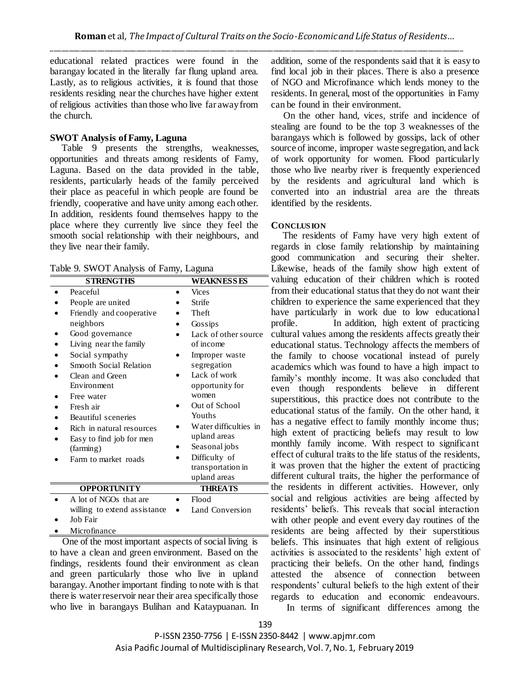educational related practices were found in the barangay located in the literally far flung upland area. Lastly, as to religious activities, it is found that those residents residing near the churches have higher extent of religious activities than those who live far away from the church.

## **SWOT Analysis of Famy, Laguna**

 Table 9 presents the strengths, weaknesses, opportunities and threats among residents of Famy, Laguna. Based on the data provided in the table, residents, particularly heads of the family perceived their place as peaceful in which people are found be friendly, cooperative and have unity among each other. In addition, residents found themselves happy to the place where they currently live since they feel the smooth social relationship with their neighbours, and they live near their family.

Table 9. SWOT Analysis of Famy, Laguna

| <b>STRENGTHS</b>             | <b>WEAKNESSES</b>     |
|------------------------------|-----------------------|
| Peaceful                     | <b>Vices</b>          |
| People are united            | Strife                |
| Friendly and cooperative     | Theft                 |
| neighbors                    | Gossips               |
| Good governance              | Lack of other source  |
| Living near the family       | of income             |
| Social sympathy              | Improper waste        |
| Smooth Social Relation       | segregation           |
| Clean and Green              | Lack of work          |
| Environment                  | opportunity for       |
| Free water                   | women                 |
| Fresh air                    | Out of School         |
| Beautiful sceneries          | Youths                |
| Rich in natural resources    | Water difficulties in |
| Easy to find job for men     | upland areas          |
| (farming)                    | Seasonal jobs         |
| Farm to market roads         | Difficulty of         |
|                              | transportation in     |
|                              | upland areas          |
| <b>OPPORTUNITY</b>           | <b>THREATS</b>        |
| A lot of NGOs that are       | Flood                 |
| willing to extend assistance | Land Conversion       |
| $I_0 h$ Eqir                 |                       |

Job Fair

• Microfinance

One of the most important aspects of social living is to have a clean and green environment. Based on the findings, residents found their environment as clean and green particularly those who live in upland barangay. Another important finding to note with is that there is water reservoir near their area specifically those who live in barangays Bulihan and Kataypuanan. In

addition, some of the respondents said that it is easy to find local job in their places. There is also a presence of NGO and Microfinance which lends money to the residents. In general, most of the opportunities in Famy can be found in their environment.

On the other hand, vices, strife and incidence of stealing are found to be the top 3 weaknesses of the barangays which is followed by gossips, lack of other source of income, improper waste segregation, and lack of work opportunity for women. Flood particularly those who live nearby river is frequently experienced by the residents and agricultural land which is converted into an industrial area are the threats identified by the residents.

## **CONCLUSION**

 The residents of Famy have very high extent of regards in close family relationship by maintaining good communication and securing their shelter. Likewise, heads of the family show high extent of valuing education of their children which is rooted from their educational status that they do not want their children to experience the same experienced that they have particularly in work due to low educational profile.In addition, high extent of practicing cultural values among the residents affects greatly their educational status. Technology affects the members of the family to choose vocational instead of purely academics which was found to have a high impact to family's monthly income. It was also concluded that even though respondents believe in different superstitious, this practice does not contribute to the educational status of the family. On the other hand, it has a negative effect to family monthly income thus; high extent of practicing beliefs may result to low monthly family income. With respect to significant effect of cultural traits to the life status of the residents, it was proven that the higher the extent of practicing different cultural traits, the higher the performance of the residents in different activities. However, only social and religious activities are being affected by residents' beliefs. This reveals that social interaction with other people and event every day routines of the residents are being affected by their superstitious beliefs. This insinuates that high extent of religious activities is associated to the residents' high extent of practicing their beliefs. On the other hand, findings attested the absence of connection between respondents' cultural beliefs to the high extent of their regards to education and economic endeavours.

In terms of significant differences among the